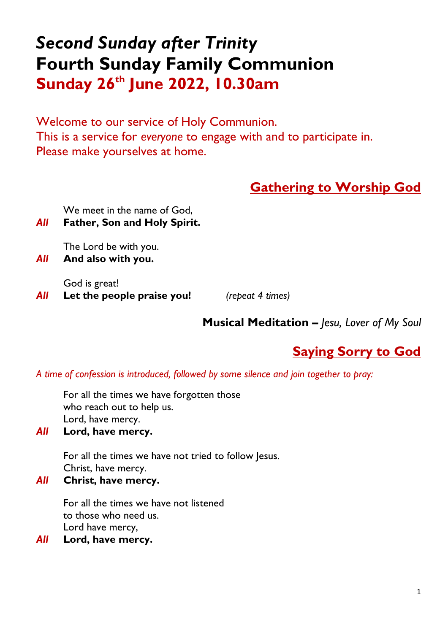# *Second Sunday after Trinity* **Fourth Sunday Family Communion Sunday 26 th June 2022, 10.30am**

Welcome to our service of Holy Communion. This is a service for *everyone* to engage with and to participate in. Please make yourselves at home.

# **Gathering to Worship God**

We meet in the name of God,

*All* **Father, Son and Holy Spirit.**

The Lord be with you.

*All* **And also with you.** 

God is great! *All* **Let the people praise you!** *(repeat 4 times)*

**Musical Meditation** *– Jesu, Lover of My Soul*

# **Saying Sorry to God**

*A time of confession is introduced, followed by some silence and join together to pray:*

For all the times we have forgotten those who reach out to help us. Lord, have mercy.

*All* **Lord, have mercy.** 

For all the times we have not tried to follow Jesus. Christ, have mercy.

*All* **Christ, have mercy.** 

For all the times we have not listened to those who need us. Lord have mercy,

*All* **Lord, have mercy.**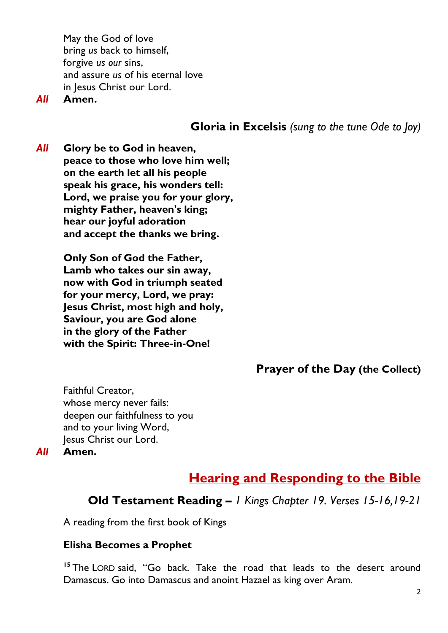May the God of love bring *us* back to himself, forgive *us our* sins, and assure *us* of his eternal love in Jesus Christ our Lord.

*All* **Amen.**

**Gloria in Excelsis** *(sung to the tune Ode to Joy)*

*All* **Glory be to God in heaven, peace to those who love him well; on the earth let all his people speak his grace, his wonders tell: Lord, we praise you for your glory, mighty Father, heaven's king; hear our joyful adoration and accept the thanks we bring.**

> **Only Son of God the Father, Lamb who takes our sin away, now with God in triumph seated for your mercy, Lord, we pray: Jesus Christ, most high and holy, Saviour, you are God alone in the glory of the Father with the Spirit: Three-in-One!**

> > **Prayer of the Day (the Collect)**

Faithful Creator, whose mercy never fails: deepen our faithfulness to you and to your living Word, Jesus Christ our Lord.

*All* **Amen.**

## **Hearing and Responding to the Bible**

### **Old Testament Reading** *– 1 Kings Chapter 19. Verses 15-16,19-21*

A reading from the first book of Kings

### **Elisha Becomes a Prophet**

**<sup>15</sup>** The LORD said, "Go back. Take the road that leads to the desert around Damascus. Go into Damascus and anoint Hazael as king over Aram.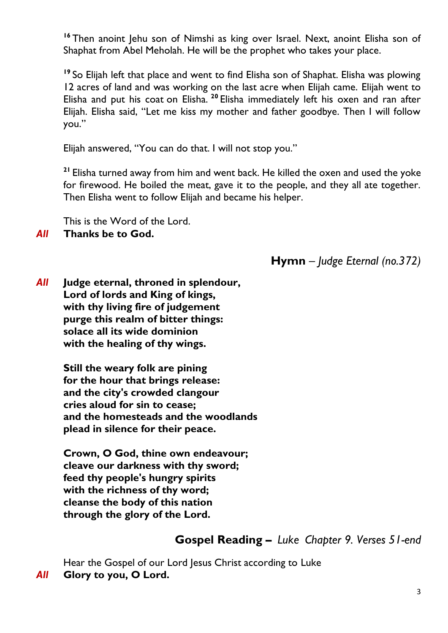<sup>16</sup> Then anoint Jehu son of Nimshi as king over Israel. Next, anoint Elisha son of Shaphat from Abel Meholah. He will be the prophet who takes your place.

**<sup>19</sup>** So Elijah left that place and went to find Elisha son of Shaphat. Elisha was plowing 12 acres of land and was working on the last acre when Elijah came. Elijah went to Elisha and put his coat on Elisha. **<sup>20</sup>** Elisha immediately left his oxen and ran after Elijah. Elisha said, "Let me kiss my mother and father goodbye. Then I will follow you."

Elijah answered, "You can do that. I will not stop you."

**<sup>21</sup>** Elisha turned away from him and went back. He killed the oxen and used the yoke for firewood. He boiled the meat, gave it to the people, and they all ate together. Then Elisha went to follow Elijah and became his helper.

This is the Word of the Lord.

### *All* **Thanks be to God.**

**Hymn** – *Judge Eternal (no.372)*

*All* **Judge eternal, throned in splendour, Lord of lords and King of kings, with thy living fire of judgement purge this realm of bitter things: solace all its wide dominion with the healing of thy wings.**

> **Still the weary folk are pining for the hour that brings release: and the city's crowded clangour cries aloud for sin to cease; and the homesteads and the woodlands plead in silence for their peace.**

**Crown, O God, thine own endeavour; cleave our darkness with thy sword; feed thy people's hungry spirits with the richness of thy word; cleanse the body of this nation through the glory of the Lord.**

### **Gospel Reading** *– Luke Chapter 9. Verses 51-end*

Hear the Gospel of our Lord Jesus Christ according to Luke *All* **Glory to you, O Lord.**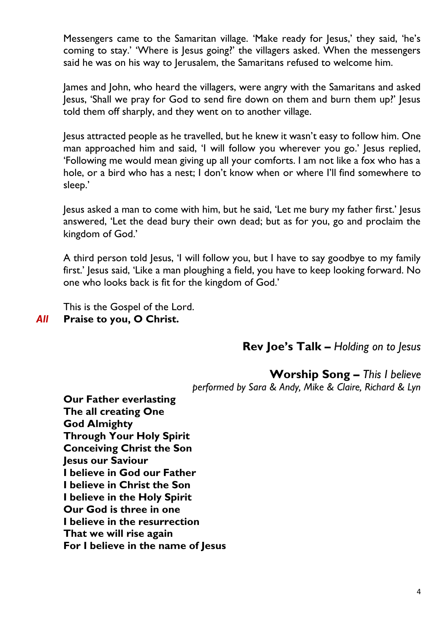Messengers came to the Samaritan village. 'Make ready for Jesus,' they said, 'he's coming to stay.' 'Where is Jesus going?' the villagers asked. When the messengers said he was on his way to Jerusalem, the Samaritans refused to welcome him.

James and John, who heard the villagers, were angry with the Samaritans and asked Jesus, 'Shall we pray for God to send fire down on them and burn them up?' Jesus told them off sharply, and they went on to another village.

Jesus attracted people as he travelled, but he knew it wasn't easy to follow him. One man approached him and said, 'I will follow you wherever you go.' Jesus replied, 'Following me would mean giving up all your comforts. I am not like a fox who has a hole, or a bird who has a nest; I don't know when or where I'll find somewhere to sleep.'

Jesus asked a man to come with him, but he said, 'Let me bury my father first.' Jesus answered, 'Let the dead bury their own dead; but as for you, go and proclaim the kingdom of God.'

A third person told Jesus, 'I will follow you, but I have to say goodbye to my family first.' Jesus said, 'Like a man ploughing a field, you have to keep looking forward. No one who looks back is fit for the kingdom of God.'

This is the Gospel of the Lord. *All* **Praise to you, O Christ.**

**Rev Joe's Talk –** *Holding on to Jesus*

**Worship Song –** *This I believe performed by Sara & Andy, Mike & Claire, Richard & Lyn*

**Our Father everlasting The all creating One God Almighty Through Your Holy Spirit Conceiving Christ the Son Jesus our Saviour I believe in God our Father I believe in Christ the Son I believe in the Holy Spirit Our God is three in one I believe in the resurrection That we will rise again For I believe in the name of Jesus**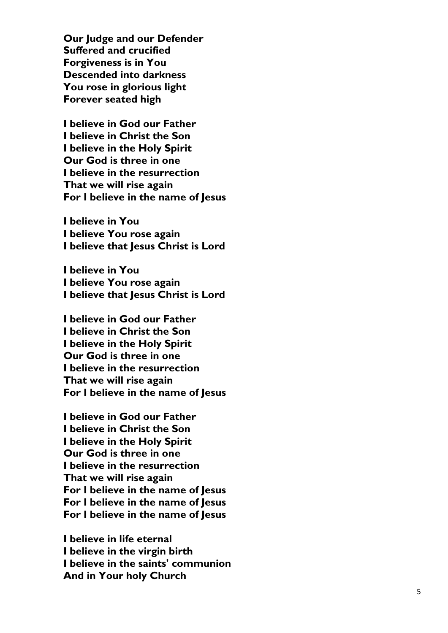**Our Judge and our Defender Suffered and crucified Forgiveness is in You Descended into darkness You rose in glorious light Forever seated high**

**I believe in God our Father I believe in Christ the Son I believe in the Holy Spirit Our God is three in one I believe in the resurrection That we will rise again For I believe in the name of Jesus**

**I believe in You I believe You rose again I believe that lesus Christ is Lord** 

**I believe in You I believe You rose again I believe that Jesus Christ is Lord**

**I believe in God our Father I believe in Christ the Son I believe in the Holy Spirit Our God is three in one I believe in the resurrection That we will rise again For I believe in the name of Jesus**

**I believe in God our Father I believe in Christ the Son I believe in the Holy Spirit Our God is three in on e I believe in the resurrection That we will rise again For I believe in the name of Jesus For I believe in the name of Jesus For I believe in the name of Jesus**

**I believe in life eternal I believe in the virgin birth I believe in the saints' communion And in Your holy Church**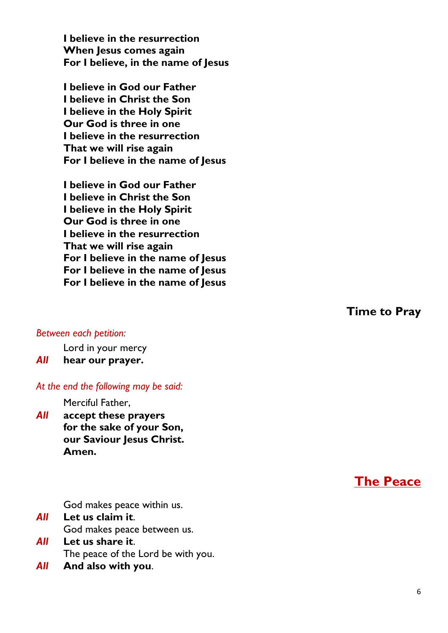**I believe in the resurrection When Jesus comes again For I believe, in the name of Jesus**

**I believe in God our Father I believe in Christ the Son I believe in the Holy Spirit Our God is three in one I believe in the resurrection That we will rise again For I believe in the name of Jesus**

**I believe in God our Father I believe in Christ the Son I believe in the Holy Spirit Our God is three in one I believe in the resurrection That we will rise again For I believe in the name of Jesus For I believe in the name of Jesus For I believe in the name of Jesus**

#### *Between each petition:*

Lord in your mercy

#### *All* **hear our prayer.**

#### *At the end the following may be said:*

Merciful Father,

*All* **accept these prayers for the sake of your Son, our Saviour Jesus Christ. Amen.**

**The Peace**

God makes peace within us.

- *All* **Let us claim it**. God makes peace between us.
- *All* **Let us share it**. The peace of the Lord be with you.
- *All* **And also with you**.

**Time to Pray**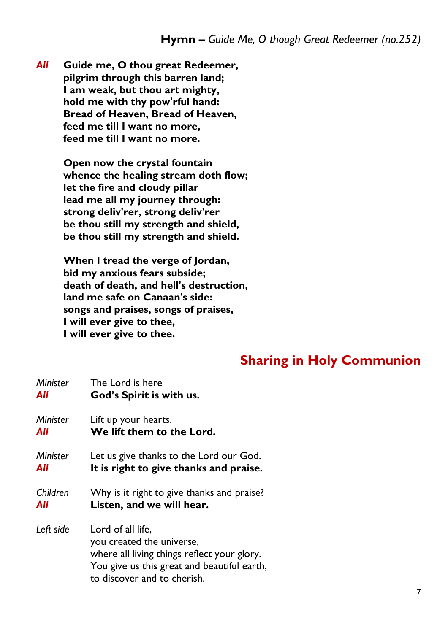*All* **Guide me, O thou great Redeemer, pilgrim through this barren land; I am weak, but thou art mighty, hold me with thy pow'rful hand: Bread of Heaven, Bread of Heaven, feed me till I want no more, feed me till I want no more.**

> **Open now the crystal fountain whence the healing stream doth flow; let the fire and cloudy pillar lead me all my journey through: strong deliv'rer, strong deliv'rer be thou still my strength and shield, be thou still my strength and shield.**

> **When I tread the verge of Jordan, bid my anxious fears subside; death of death, and hell's destruction, land me safe on Canaan's side: songs and praises, songs of praises, I will ever give to thee, I will ever give to thee.**

### **Sharing in Holy Communion**

| <b>Minister</b> | The Lord is here                                                                                                                                                            |
|-----------------|-----------------------------------------------------------------------------------------------------------------------------------------------------------------------------|
| All             | God's Spirit is with us.                                                                                                                                                    |
| <b>Minister</b> | Lift up your hearts.                                                                                                                                                        |
| All             | We lift them to the Lord.                                                                                                                                                   |
| <b>Minister</b> | Let us give thanks to the Lord our God.                                                                                                                                     |
| All             | It is right to give thanks and praise.                                                                                                                                      |
| Children        | Why is it right to give thanks and praise?                                                                                                                                  |
| All             | Listen, and we will hear.                                                                                                                                                   |
| Left side       | Lord of all life,<br>you created the universe,<br>where all living things reflect your glory.<br>You give us this great and beautiful earth,<br>to discover and to cherish. |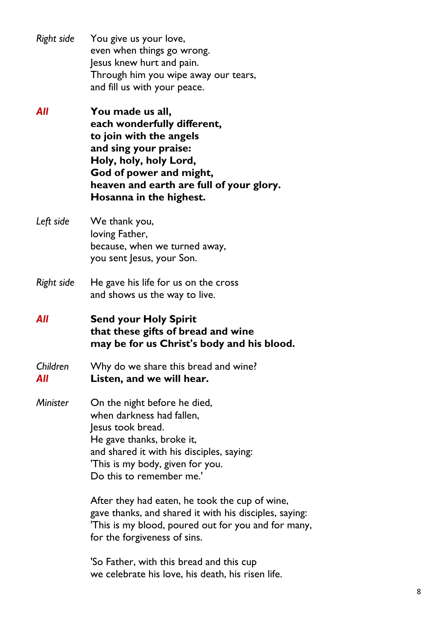| Right side | You give us your love,               |
|------------|--------------------------------------|
|            | even when things go wrong.           |
|            | Jesus knew hurt and pain.            |
|            | Through him you wipe away our tears, |
|            | and fill us with your peace.         |
|            |                                      |

- *All* **You made us all, each wonderfully different, to join with the angels and sing your praise: Holy, holy, holy Lord, God of power and might, heaven and earth are full of your glory. Hosanna in the highest.**
- *Left side* We thank you, loving Father, because, when we turned away, you sent Jesus, your Son.
- *Right side* He gave his life for us on the cross and shows us the way to live.
- *All* **Send your Holy Spirit that these gifts of bread and wine may be for us Christ's body and his blood.**
- *Children* Why do we share this bread and wine? *All* **Listen, and we will hear.**
- *Minister* On the night before he died, when darkness had fallen, Jesus took bread. He gave thanks, broke it, and shared it with his disciples, saying: 'This is my body, given for you. Do this to remember me.'

After they had eaten, he took the cup of wine, gave thanks, and shared it with his disciples, saying: 'This is my blood, poured out for you and for many, for the forgiveness of sins.

'So Father, with this bread and this cup we celebrate his love, his death, his risen life.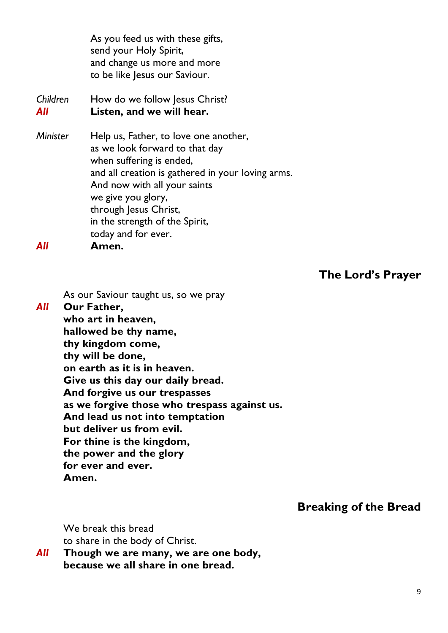As you feed us with these gifts, send your Holy Spirit, and change us more and more to be like Jesus our Saviour.

*Children* How do we follow Jesus Christ? *All* **Listen, and we will hear.** *Minister* Help us, Father, to love one another,

as we look forward to that day when suffering is ended, and all creation is gathered in your loving arms. And now with all your saints we give you glory, through Jesus Christ, in the strength of the Spirit, today and for ever. *All* **Amen.**

**The Lord's Prayer**

As our Saviour taught us, so we pray

*All* **Our Father, who art in heaven, hallowed be thy name, thy kingdom come, thy will be done, on earth as it is in heaven. Give us this day our daily bread. And forgive us our trespasses as we forgive those who trespass against us. And lead us not into temptation but deliver us from evil. For thine is the kingdom, the power and the glory for ever and ever. Amen.**

**Breaking of the Bread**

We break this bread to share in the body of Christ.

*All* **Though we are many, we are one body, because we all share in one bread.**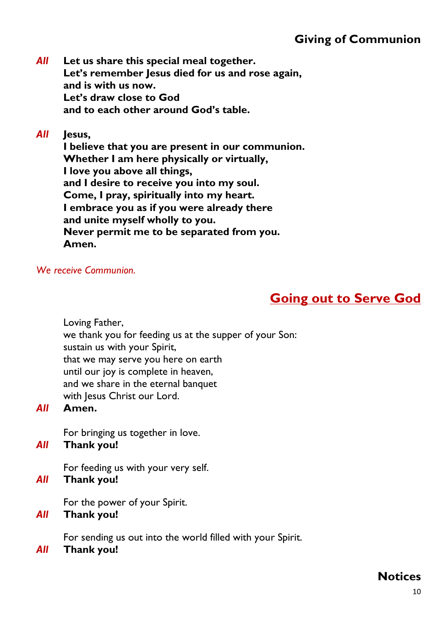# **Giving of Communion**

*All* **Let us share this special meal together. Let's remember Jesus died for us and rose again, and is with us now. Let's draw close to God and to each other around God's table.**

### *All* **Jesus,**

**I believe that you are present in our communion. Whether I am here physically or virtually, I love you above all things, and I desire to receive you into my soul. Come, I pray, spiritually into my heart. I embrace you as if you were already there and unite myself wholly to you. Never permit me to be separated from you. Amen.**

#### *We receive Communion.*

# **Going out to Serve God**

Loving Father,

we thank you for feeding us at the supper of your Son:

sustain us with your Spirit,

that we may serve you here on earth

until our joy is complete in heaven,

and we share in the eternal banquet

with Jesus Christ our Lord.

### *All* **Amen.**

For bringing us together in love.

#### *All* **Thank you!**

For feeding us with your very self.

*All* **Thank you!**

For the power of your Spirit.

### *All* **Thank you!**

For sending us out into the world filled with your Spirit.

### *All* **Thank you!**

## **Notices**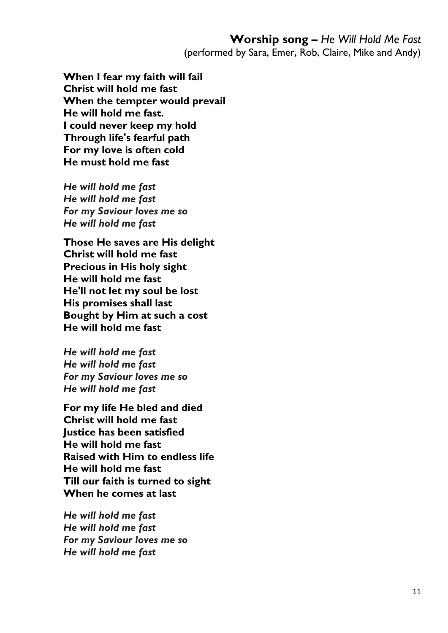**When I fear my faith will fail Christ will hold me fast When the tempter would prevail He will hold me fast. I could never keep my hold Through life's fearful path For my love is often cold He must hold me fast**

*He will hold me fast He will hold me fast For my Saviour loves me so He will hold me fast*

**Those He saves are His delight Christ will hold me fast Precious in His holy sight He will hold me fast He'll not let my soul be lost His promises shall last Bought by Him at such a cost He will hold me fast**

*He will hold me fast He will hold me fast For my Saviour loves me so He will hold me fast*

**For my life He bled and died Christ will hold me fast Justice has been satisfied He will hold me fast Raised with Him to endless life He will hold me fast Till our faith is turned to sight When he comes at last**

*He will hold me fast He will hold me fast For my Saviour loves me so He will hold me fast*